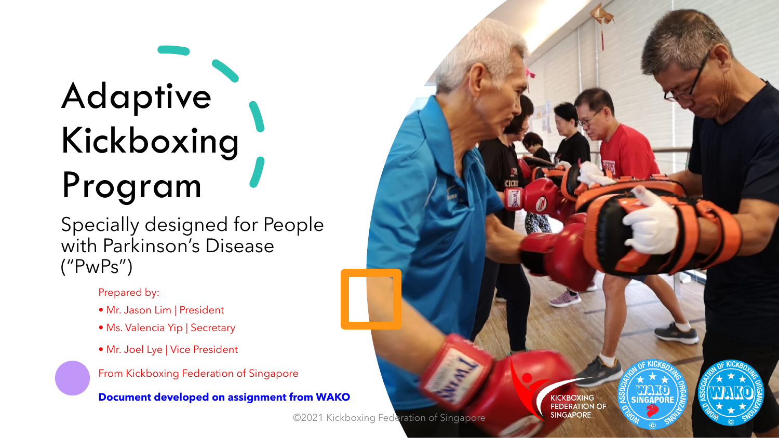# Adaptive Kickboxing Program

Specially designed for People with Parkinson's Disease ("PwPs")

Prepared by:

- Mr. Jason Lim | President
- Ms. Valencia Yip | Secretary
- Mr. Joel Lye | Vice President

From Kickboxing Federation of Singapore

**Document developed on assignment from WAKO**

©2021 Kickboxing Federation of Singapore

**KICKBOXING FEDERATION OF SINGAPORE** 

**SINGAPOI** 

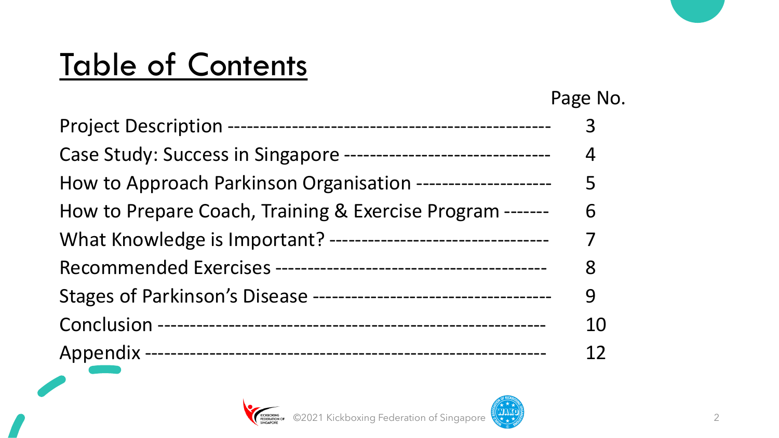## Table of Contents

|                                                                  | Page No. |
|------------------------------------------------------------------|----------|
|                                                                  | 3        |
| Case Study: Success in Singapore ------------------------------- | 4        |
| How to Approach Parkinson Organisation ---------------------     | 5        |
| How to Prepare Coach, Training & Exercise Program -------        | 6        |
| What Knowledge is Important? ---------------------------------   | 7        |
|                                                                  | 8        |
|                                                                  | 9        |
|                                                                  | 10       |
|                                                                  |          |

EDERATION OF CO2021 Kickboxing Federation of Singapore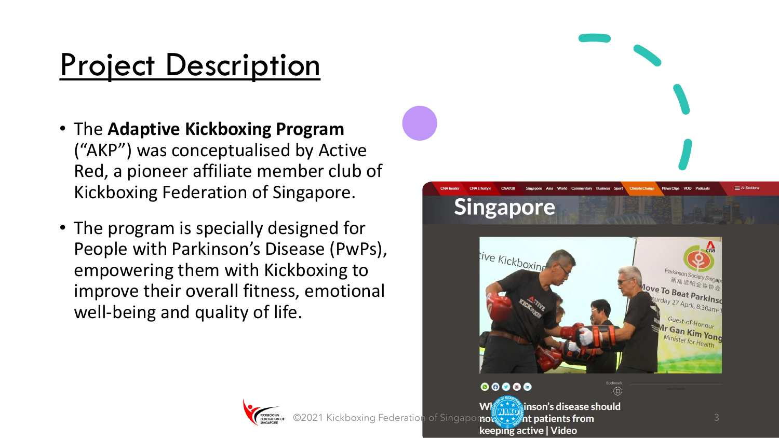## Project Description

- The **Adaptive Kickboxing Program** ("AKP") was conceptualised by Active Red, a pioneer affiliate member club of Kickboxing Federation of Singapore.
- The program is specially designed for People with Parkinson's Disease (PwPs), empowering them with Kickboxing to improve their overall fitness, emotional well-being and quality of life.



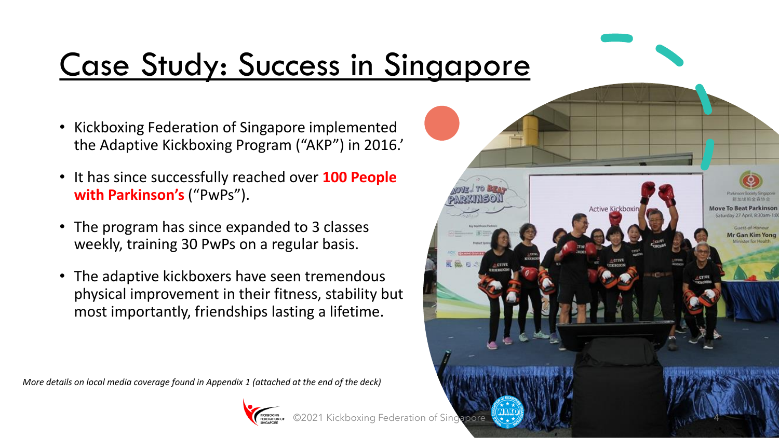# Case Study: Success in Singapore

- Kickboxing Federation of Singapore implemented the Adaptive Kickboxing Program ("AKP") in 2016.'
- It has since successfully reached over **100 People with Parkinson's** ("PwPs").
- The program has since expanded to 3 classes weekly, training 30 PwPs on a regular basis.
- The adaptive kickboxers have seen tremendous physical improvement in their fitness, stability but most importantly, friendships lasting a lifetime.

*More details on local media coverage found in Appendix 1 (attached at the end of the deck)*



**Active Kickboxir** 

Mr Gan Kim Yon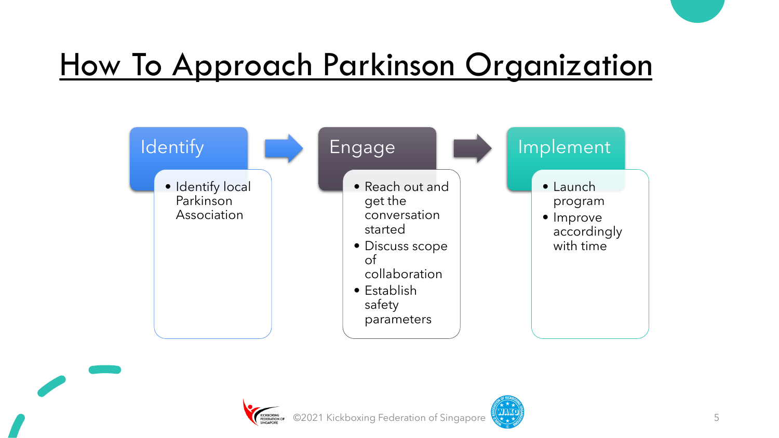### How To Approach Parkinson Organization





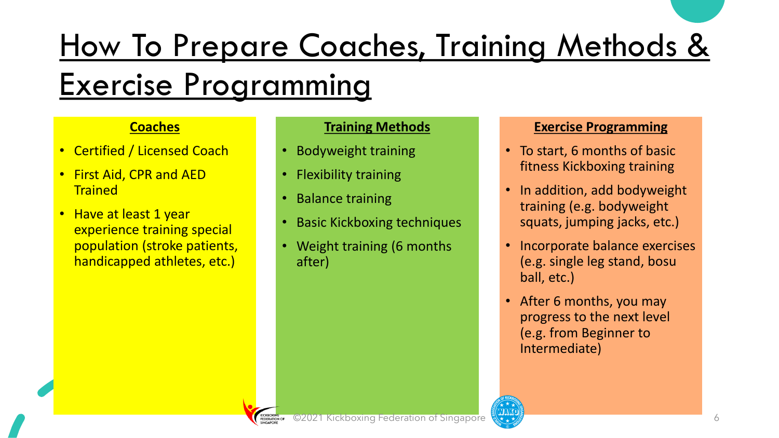# How To Prepare Coaches, Training Methods &

### Exercise Programming

#### **Coaches**

- Certified / Licensed Coach
- First Aid, CPR and AED **Trained**
- Have at least 1 year experience training special population (stroke patients, handicapped athletes, etc.)

#### **Training Methods**

- Bodyweight training
- Flexibility training
- Balance training
- Basic Kickboxing techniques
- Weight training (6 months after)

#### **Exercise Programming**

- To start, 6 months of basic fitness Kickboxing training
- In addition, add bodyweight training (e.g. bodyweight squats, jumping jacks, etc.)
- Incorporate balance exercises (e.g. single leg stand, bosu ball, etc.)
- After 6 months, you may progress to the next level (e.g. from Beginner to Intermediate)

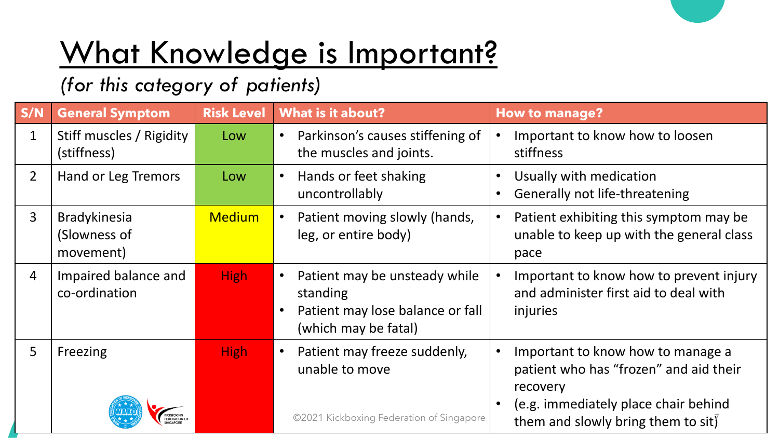## What Knowledge is Important?

### *(for this category of patients)*

| S/N            | <b>General Symptom</b>                           | <b>Risk Level</b> | <b>What is it about?</b>                                                                                                        | <b>How to manage?</b>                                                                                   |  |
|----------------|--------------------------------------------------|-------------------|---------------------------------------------------------------------------------------------------------------------------------|---------------------------------------------------------------------------------------------------------|--|
| $\mathbf{1}$   | Stiff muscles / Rigidity<br>(stiffness)          | Low               | Parkinson's causes stiffening of<br>$\bullet$<br>the muscles and joints.                                                        | Important to know how to loosen<br>stiffness                                                            |  |
| $\overline{2}$ | Hand or Leg Tremors                              | Low               | Hands or feet shaking<br>$\bullet$<br>uncontrollably                                                                            | Usually with medication<br>Generally not life-threatening                                               |  |
| $\overline{3}$ | <b>Bradykinesia</b><br>(Slowness of<br>movement) | <b>Medium</b>     | Patient moving slowly (hands,<br>$\bullet$<br>leg, or entire body)                                                              | Patient exhibiting this symptom may be<br>$\bullet$<br>unable to keep up with the general class<br>pace |  |
| $\overline{4}$ | Impaired balance and<br>co-ordination            | <b>High</b>       | Patient may be unsteady while<br>$\bullet$<br>standing<br>Patient may lose balance or fall<br>$\bullet$<br>(which may be fatal) | Important to know how to prevent injury<br>and administer first aid to deal with<br>injuries            |  |
| 5              | Freezing                                         | <b>High</b>       | Patient may freeze suddenly,<br>$\bullet$<br>unable to move                                                                     | Important to know how to manage a<br>patient who has "frozen" and aid their<br>recovery                 |  |
|                |                                                  |                   | ©2021 Kickboxing Federation of Singapore                                                                                        | (e.g. immediately place chair behind<br>them and slowly bring them to sit)                              |  |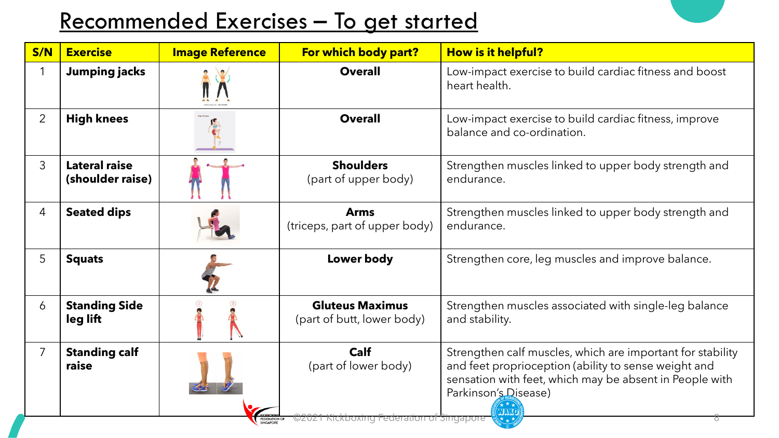### Recommended Exercises – To get started

| S/N            | <b>Exercise</b>                   | <b>Image Reference</b>     | For which body part?                                                            | How is it helpful?                                                                                                                                                                                                          |
|----------------|-----------------------------------|----------------------------|---------------------------------------------------------------------------------|-----------------------------------------------------------------------------------------------------------------------------------------------------------------------------------------------------------------------------|
|                | <b>Jumping jacks</b>              |                            | <b>Overall</b>                                                                  | Low-impact exercise to build cardiac fitness and boost<br>heart health.                                                                                                                                                     |
| $\overline{2}$ | <b>High knees</b>                 |                            | <b>Overall</b>                                                                  | Low-impact exercise to build cardiac fitness, improve<br>balance and co-ordination.                                                                                                                                         |
| 3              | Lateral raise<br>(shoulder raise) |                            | <b>Shoulders</b><br>(part of upper body)                                        | Strengthen muscles linked to upper body strength and<br>endurance.                                                                                                                                                          |
| 4              | <b>Seated dips</b>                |                            | <b>Arms</b><br>(triceps, part of upper body)                                    | Strengthen muscles linked to upper body strength and<br>endurance.                                                                                                                                                          |
| 5              | <b>Squats</b>                     |                            | Lower body                                                                      | Strengthen core, leg muscles and improve balance.                                                                                                                                                                           |
| 6              | <b>Standing Side</b><br>leg lift  |                            | <b>Gluteus Maximus</b><br>(part of butt, lower body)                            | Strengthen muscles associated with single-leg balance<br>and stability.                                                                                                                                                     |
| $\overline{7}$ | <b>Standing calf</b><br>raise     | FEDERATION OF<br>SINGAPORE | <b>Calf</b><br>(part of lower body)<br>©2021 Kickboxing Federation of Singapore | Strengthen calf muscles, which are important for stability<br>and feet proprioception (ability to sense weight and<br>sensation with feet, which may be absent in People with<br>Parkinson's Disease)<br><b>TAKO</b><br>診★★ |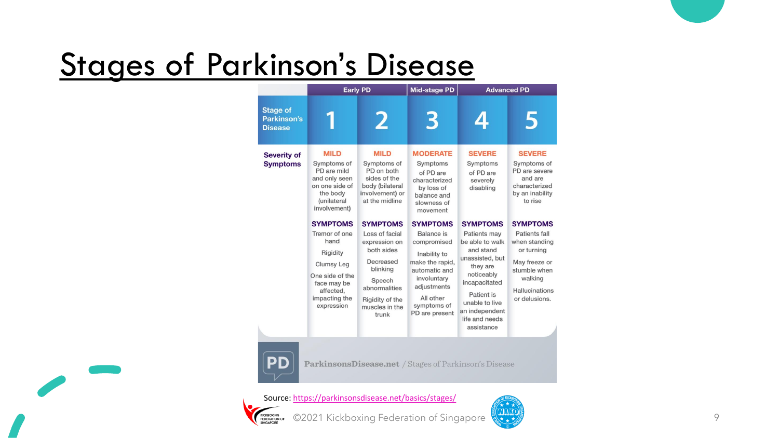## Stages of Parkinson's Disease

|                                           | <b>Early PD</b>                                                                                                                                         |                                                                                                                                                                    | Mid-stage PD                                                                                                                                                                        | <b>Advanced PD</b>                                                                                                                                                                                |                                                                                                                                                       |
|-------------------------------------------|---------------------------------------------------------------------------------------------------------------------------------------------------------|--------------------------------------------------------------------------------------------------------------------------------------------------------------------|-------------------------------------------------------------------------------------------------------------------------------------------------------------------------------------|---------------------------------------------------------------------------------------------------------------------------------------------------------------------------------------------------|-------------------------------------------------------------------------------------------------------------------------------------------------------|
| Stage of<br>Parkinson's<br><b>Disease</b> |                                                                                                                                                         | 2                                                                                                                                                                  | 3                                                                                                                                                                                   | 4                                                                                                                                                                                                 | 5                                                                                                                                                     |
| <b>Severity of</b><br><b>Symptoms</b>     | <b>MILD</b><br>Symptoms of<br>PD are mild<br>and only seen<br>on one side of<br>the body<br><i>(unilateral</i><br>involvement)                          | <b>MILD</b><br>Symptoms of<br>PD on both<br>sides of the<br>body (bilateral<br>involvement) or<br>at the midline                                                   | <b>MODERATE</b><br>Symptoms<br>of PD are<br>characterized<br>by loss of<br>balance and<br>slowness of<br>movement                                                                   | <b>SEVERE</b><br>Symptoms<br>of PD are<br>severely<br>disabling                                                                                                                                   | <b>SEVERE</b><br>Symptoms of<br>PD are severe<br>and are<br>characterized<br>by an inability<br>to rise                                               |
|                                           | <b>SYMPTOMS</b><br>Tremor of one<br>hand<br>Rigidity<br><b>Clumsy Leg</b><br>One side of the<br>face may be<br>affected,<br>impacting the<br>expression | <b>SYMPTOMS</b><br>Loss of facial<br>expression on<br>both sides<br>Decreased<br>blinking<br>Speech<br>abnormalities<br>Rigidity of the<br>muscles in the<br>trunk | <b>SYMPTOMS</b><br><b>Balance</b> is<br>compromised<br>Inability to<br>make the rapid,<br>automatic and<br>involuntary<br>adjustments<br>All other<br>symptoms of<br>PD are present | <b>SYMPTOMS</b><br>Patients may<br>be able to walk<br>and stand<br>unassisted, but<br>they are<br>noticeably<br>incapacitated<br>Patient is<br>unable to live<br>an independent<br>life and needs | <b>SYMPTOMS</b><br>Patients fall<br>when standing<br>or turning<br>May freeze or<br>stumble when<br>walking<br><b>Hallucinations</b><br>or delusions. |
|                                           |                                                                                                                                                         |                                                                                                                                                                    |                                                                                                                                                                                     | assistance                                                                                                                                                                                        |                                                                                                                                                       |



ParkinsonsDisease.net / Stages of Parkinson's Disease

Source:<https://parkinsonsdisease.net/basics/stages/>



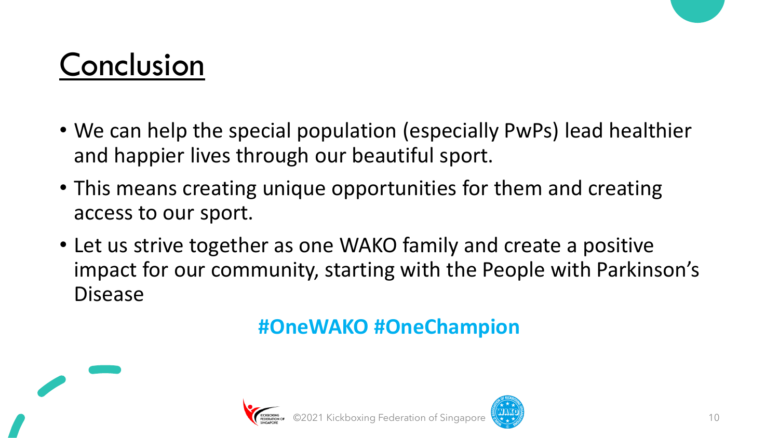### Conclusion

- We can help the special population (especially PwPs) lead healthier and happier lives through our beautiful sport.
- This means creating unique opportunities for them and creating access to our sport.
- Let us strive together as one WAKO family and create a positive impact for our community, starting with the People with Parkinson's Disease

### **#OneWAKO #OneChampion**





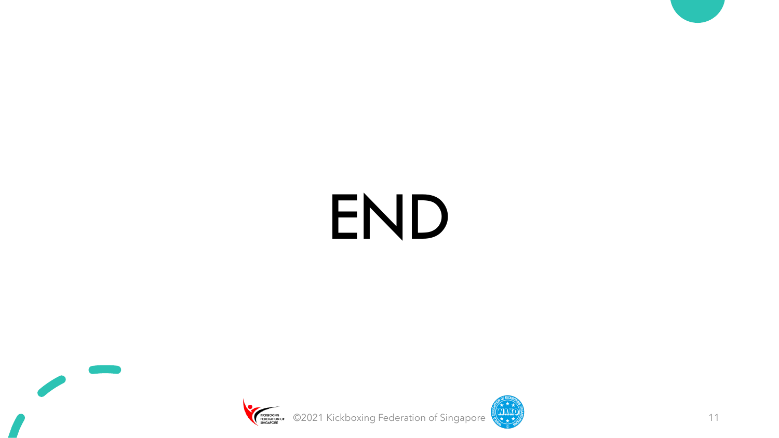# END